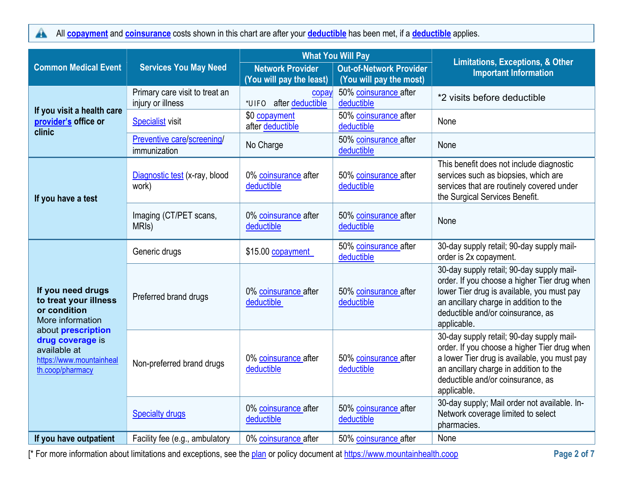All copayment and coinsurance costs shown in this chart are after your deductible has been met, if a deductible applies.  $\blacktriangle$ 

|                                                                                                        |                                                     | <b>What You Will Pay</b>                                    |                                                           |                                                                                                                                                                                                                                         |  | <b>Limitations, Exceptions, &amp; Other</b> |
|--------------------------------------------------------------------------------------------------------|-----------------------------------------------------|-------------------------------------------------------------|-----------------------------------------------------------|-----------------------------------------------------------------------------------------------------------------------------------------------------------------------------------------------------------------------------------------|--|---------------------------------------------|
| <b>Common Medical Event</b>                                                                            | <b>Services You May Need</b>                        | <b>Network Provider</b><br>(You will pay the least)         | <b>Out-of-Network Provider</b><br>(You will pay the most) | <b>Important Information</b>                                                                                                                                                                                                            |  |                                             |
|                                                                                                        | Primary care visit to treat an<br>injury or illness | First 2 visits \$40.00<br>copay<br>*rfcl " after deductible | 50% coinsurance after<br>deductible                       | *2 visits before deductible                                                                                                                                                                                                             |  |                                             |
| If you visit a health care<br>provider's office or<br>clinic                                           | <b>Specialist visit</b>                             | \$0 copayment<br>after deductible                           | 50% coinsurance after<br>deductible                       | None                                                                                                                                                                                                                                    |  |                                             |
|                                                                                                        | Preventive care/screening/<br>immunization          | No Charge                                                   | 50% coinsurance after<br>deductible                       | None                                                                                                                                                                                                                                    |  |                                             |
| If you have a test                                                                                     | Diagnostic test (x-ray, blood<br>work)              | 0% coinsurance after<br>deductible                          | 50% coinsurance after<br>deductible                       | This benefit does not include diagnostic<br>services such as biopsies, which are<br>services that are routinely covered under<br>the Surgical Services Benefit.                                                                         |  |                                             |
|                                                                                                        | Imaging (CT/PET scans,<br>MRI <sub>s</sub> )        | 0% coinsurance after<br>deductible                          | 50% coinsurance after<br>deductible                       | None                                                                                                                                                                                                                                    |  |                                             |
|                                                                                                        | Generic drugs                                       | \$15.00 copayment                                           | 50% coinsurance after<br>deductible                       | 30-day supply retail; 90-day supply mail-<br>order is 2x copayment.                                                                                                                                                                     |  |                                             |
| If you need drugs<br>to treat your illness<br>or condition<br>More information                         | Preferred brand drugs                               | 0% coinsurance after<br>deductible                          | 50% coinsurance after<br>deductible                       | 30-day supply retail; 90-day supply mail-<br>order. If you choose a higher Tier drug when<br>lower Tier drug is available, you must pay<br>an ancillary charge in addition to the<br>deductible and/or coinsurance, as<br>applicable.   |  |                                             |
| about prescription<br>drug coverage is<br>available at<br>https://www.mountainheal<br>th.coop/pharmacy | Non-preferred brand drugs                           | 0% coinsurance after<br>deductible                          | 50% coinsurance after<br>deductible                       | 30-day supply retail; 90-day supply mail-<br>order. If you choose a higher Tier drug when<br>a lower Tier drug is available, you must pay<br>an ancillary charge in addition to the<br>deductible and/or coinsurance, as<br>applicable. |  |                                             |
|                                                                                                        | <b>Specialty drugs</b>                              | 0% coinsurance after<br>deductible                          | 50% coinsurance after<br>deductible                       | 30-day supply; Mail order not available. In-<br>Network coverage limited to select<br>pharmacies.                                                                                                                                       |  |                                             |
| If you have outpatient                                                                                 | Facility fee (e.g., ambulatory                      | 0% coinsurance after                                        | 50% coinsurance after                                     | None                                                                                                                                                                                                                                    |  |                                             |

[\* For more information about limitations and exceptions, see the plan or policy document at https://www.mountainhealth.coop Page 2 of 7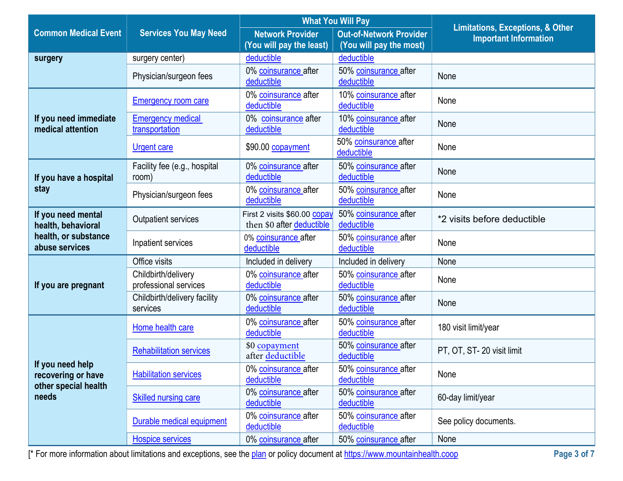|                                                                |                                              | <b>What You Will Pay</b>                                  |                                     | <b>Limitations, Exceptions, &amp; Other</b> |
|----------------------------------------------------------------|----------------------------------------------|-----------------------------------------------------------|-------------------------------------|---------------------------------------------|
| <b>Common Medical Event</b>                                    | <b>Services You May Need</b>                 | <b>Network Provider</b>                                   | <b>Out-of-Network Provider</b>      | <b>Important Information</b>                |
|                                                                |                                              | (You will pay the least)                                  | (You will pay the most)             |                                             |
| surgery                                                        | surgery center)                              | deductible                                                | deductible                          |                                             |
|                                                                | Physician/surgeon fees                       | 0% coinsurance after<br>deductible                        | 50% coinsurance after<br>deductible | None                                        |
|                                                                | <b>Emergency room care</b>                   | 0% coinsurance after<br>deductible                        | 10% coinsurance after<br>deductible | None                                        |
| If you need immediate<br>medical attention                     | <b>Emergency medical</b><br>transportation   | 0% coinsurance after<br>deductible                        | 10% coinsurance after<br>deductible | None                                        |
|                                                                | <b>Urgent care</b>                           | \$90.00 copayment                                         | 50% coinsurance after<br>deductible | None                                        |
| If you have a hospital                                         | Facility fee (e.g., hospital<br>room)        | 0% coinsurance after<br>deductible                        | 50% coinsurance after<br>deductible | None                                        |
| stay                                                           | Physician/surgeon fees                       | 0% coinsurance after<br>deductible                        | 50% coinsurance after<br>deductible | None                                        |
| If you need mental<br>health, behavioral                       | <b>Outpatient services</b>                   | First 2 visits \$60.00 copay<br>then \$0 after deductible | 50% coinsurance after<br>deductible | *2 visits before deductible                 |
| health, or substance<br>abuse services                         | Inpatient services                           | 0% coinsurance after<br>deductible                        | 50% coinsurance after<br>deductible | None                                        |
|                                                                | Office visits                                | Included in delivery                                      | Included in delivery                | None                                        |
| If you are pregnant                                            | Childbirth/delivery<br>professional services | 0% coinsurance after<br>deductible                        | 50% coinsurance after<br>deductible | None                                        |
|                                                                | Childbirth/delivery facility<br>services     | 0% coinsurance after<br>deductible                        | 50% coinsurance after<br>deductible | None                                        |
|                                                                | Home health care                             | 0% coinsurance after<br>deductible                        | 50% coinsurance after<br>deductible | 180 visit limit/year                        |
|                                                                | <b>Rehabilitation services</b>               | \$0 copayment<br>after deductible                         | 50% coinsurance after<br>deductible | PT, OT, ST-20 visit limit                   |
| If you need help<br>recovering or have<br>other special health | <b>Habilitation services</b>                 | 0% coinsurance after<br>deductible                        | 50% coinsurance after<br>deductible | None                                        |
| needs                                                          | <b>Skilled nursing care</b>                  | 0% coinsurance after<br>deductible                        | 50% coinsurance after<br>deductible | 60-day limit/year                           |
|                                                                | Durable medical equipment                    | 0% coinsurance after<br>deductible                        | 50% coinsurance after<br>deductible | See policy documents.                       |
|                                                                | <b>Hospice services</b>                      | 0% coinsurance after                                      | 50% coinsurance after               | None                                        |

[\* For more information about limitations and exceptions, see the plan or policy document at https://www.mountainhealth.coop Page 3 of 7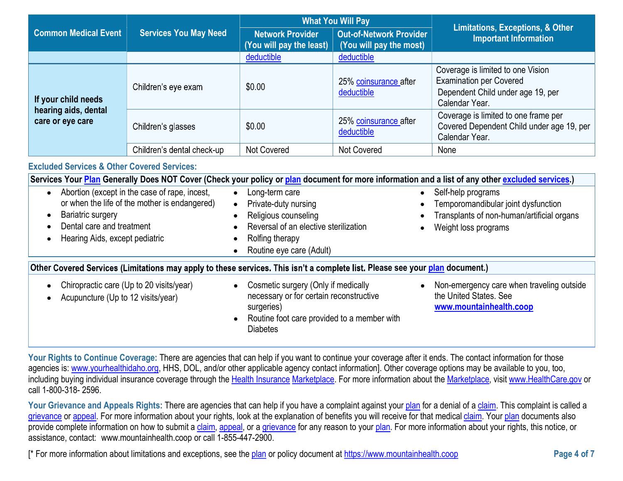|                                                                                                                                                                                                                                                                                                                                                                                                                                                                                                                        | <b>What You Will Pay</b>                              |                                                                                                                                                                |                                                           |                                                                                                                                                  |
|------------------------------------------------------------------------------------------------------------------------------------------------------------------------------------------------------------------------------------------------------------------------------------------------------------------------------------------------------------------------------------------------------------------------------------------------------------------------------------------------------------------------|-------------------------------------------------------|----------------------------------------------------------------------------------------------------------------------------------------------------------------|-----------------------------------------------------------|--------------------------------------------------------------------------------------------------------------------------------------------------|
| <b>Common Medical Event</b>                                                                                                                                                                                                                                                                                                                                                                                                                                                                                            | <b>Services You May Need</b>                          | <b>Network Provider</b><br>(You will pay the least)                                                                                                            | <b>Out-of-Network Provider</b><br>(You will pay the most) | <b>Limitations, Exceptions, &amp; Other</b><br><b>Important Information</b>                                                                      |
|                                                                                                                                                                                                                                                                                                                                                                                                                                                                                                                        |                                                       | deductible                                                                                                                                                     | deductible                                                |                                                                                                                                                  |
| If your child needs                                                                                                                                                                                                                                                                                                                                                                                                                                                                                                    | Children's eye exam                                   | \$0.00                                                                                                                                                         | 25% coinsurance after<br>deductible                       | Coverage is limited to one Vision<br><b>Examination per Covered</b><br>Dependent Child under age 19, per<br>Calendar Year.                       |
| hearing aids, dental<br>care or eye care                                                                                                                                                                                                                                                                                                                                                                                                                                                                               | Children's glasses                                    | \$0.00                                                                                                                                                         | 25% coinsurance after<br>deductible                       | Coverage is limited to one frame per<br>Covered Dependent Child under age 19, per<br>Calendar Year.                                              |
|                                                                                                                                                                                                                                                                                                                                                                                                                                                                                                                        | Children's dental check-up                            | <b>Not Covered</b>                                                                                                                                             | <b>Not Covered</b>                                        | None                                                                                                                                             |
| <b>Excluded Services &amp; Other Covered Services:</b>                                                                                                                                                                                                                                                                                                                                                                                                                                                                 |                                                       |                                                                                                                                                                |                                                           |                                                                                                                                                  |
|                                                                                                                                                                                                                                                                                                                                                                                                                                                                                                                        |                                                       |                                                                                                                                                                |                                                           | Services Your Plan Generally Does NOT Cover (Check your policy or plan document for more information and a list of any other excluded services.) |
| Abortion (except in the case of rape, incest,<br>Long-term care<br>Self-help programs<br>$\bullet$<br>$\bullet$<br>or when the life of the mother is endangered)<br>Private-duty nursing<br>Temporomandibular joint dysfunction<br>Bariatric surgery<br>Religious counseling<br>Transplants of non-human/artificial organs<br>$\bullet$<br>Dental care and treatment<br>Reversal of an elective sterilization<br>Weight loss programs<br>Rolfing therapy<br>Hearing Aids, except pediatric<br>Routine eye care (Adult) |                                                       |                                                                                                                                                                |                                                           |                                                                                                                                                  |
| Other Covered Services (Limitations may apply to these services. This isn't a complete list. Please see your plan document.)                                                                                                                                                                                                                                                                                                                                                                                           |                                                       |                                                                                                                                                                |                                                           |                                                                                                                                                  |
| Acupuncture (Up to 12 visits/year)                                                                                                                                                                                                                                                                                                                                                                                                                                                                                     | Chiropractic care (Up to 20 visits/year)<br>$\bullet$ | Cosmetic surgery (Only if medically<br>necessary or for certain reconstructive<br>surgeries)<br>Routine foot care provided to a member with<br><b>Diabetes</b> |                                                           | Non-emergency care when traveling outside<br>the United States. See<br>www.mountainhealth.coop                                                   |

Your Rights to Continue Coverage: There are agencies that can help if you want to continue your coverage after it ends. The contact information for those agencies is: www.yourhealthidaho.org, HHS, DOL, and/or other applicable agency contact information]. Other coverage options may be available to you, too, including buying individual insurance coverage through the Health Insurance Marketplace. For more information about the Marketplace, visit www.HealthCare.gov or call 1-800-318- 2596.

Your Grievance and Appeals Rights: There are agencies that can help if you have a complaint against your plan for a denial of a claim. This complaint is called a grievance or appeal. For more information about your rights, look at the explanation of benefits you will receive for that medical claim. Your plan documents also provide complete information on how to submit a claim, appeal, or a grievance for any reason to your plan. For more information about your rights, this notice, or assistance, contact: www.mountainhealth.coop or call 1-855-447-2900.

[\* For more information about limitations and exceptions, see the plan or policy document at https://www.mountainhealth.coop Page 4 of 7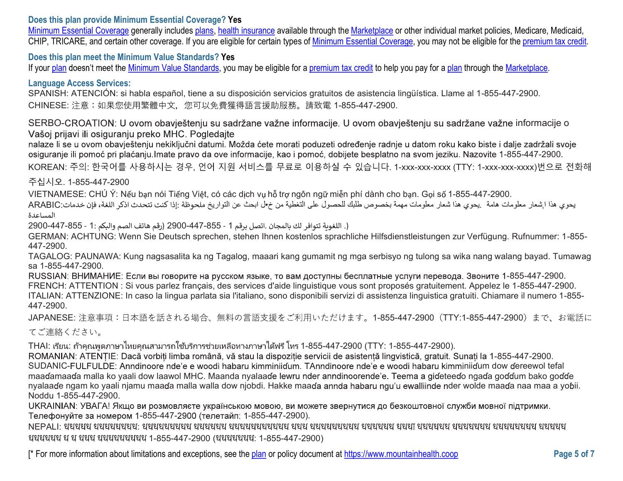## Does this plan provide Minimum Essential Coverage? Yes

Minimum Essential Coverage generally includes plans, health insurance available through the Marketplace or other individual market policies, Medicare, Medicaid, CHIP, TRICARE, and certain other coverage. If you are eligible for certain types of Minimum Essential Coverage, you may not be eligible for the premium tax credit.

### Does this plan meet the Minimum Value Standards? Yes

If your plan doesn't meet the Minimum Value Standards, you may be eligible for a premium tax credit to help you pay for a plan through the Marketplace.

### Language Access Services:

SPANISH: ATENCIÓN: si habla español, tiene a su disposición servicios gratuitos de asistencia lingüística. Llame al 1-855-447-2900. CHINESE: 注意:如果您使用繁體中文, 您可以免費獲得語言援助服務。請致電 1-855-447-2900.

SERBO-CROATION: U ovom obavještenju su sadržane važne informacije. U ovom obavještenju su sadržane važne informacije o Vašoj prijavi ili osiguranju preko MHC, Pogledajte

nalaze li se u ovom obavještenju nekiključni datumi. Možda ćete morati poduzeti određenje radnje u datom roku kako biste i dalje zadržali svoje osiguranje ili pomoć pri plaćanju.Imate pravo da ove informacije, kao i pomoć, dobijete besplatno na svom jeziku. Nazovite 1-855-447-2900. KOREAN: 주의: 한국어를 사용하시는 경우, 언어 지원 서비스를 무료로 이용하실 수 있습니다. 1-xxx-xxx-xxxx (TTY: 1-xxx-xxx-xxxx)번으로 전화해

주십시오. 1-855-447-2900

VIETNAMESE: CHÚ Ý: Nếu bạn nói Tiếng Việt, có các dịch vụ hỗ trợ ngôn ngữ miễn phí dành cho bạn. Gọi số 1-855-447-2900.

يحوي هذا ا شعار معلومات هامة . يحوي هذا شعار معلومات مهمة بخصوص طلبك للحصول على التغطية من خ•ل الحث عن التواريخ ملحوظة :إذا كنت تتحدث اذكر اللغة، فإن خدمات:ARABIC المساعدة

(. اللغوية تتوافر لك بالمجان .اتصل برقم 1 - 855-447-2900 (رقم هاتف الصم والبكم :1 - 855-447-2900 ـ

GERMAN: ACHTUNG: Wenn Sie Deutsch sprechen, stehen Ihnen kostenlos sprachliche Hilfsdienstleistungen zur Verfügung. Rufnummer: 1-855- 447-2900.

TAGALOG: PAUNAWA: Kung nagsasalita ka ng Tagalog, maaari kang gumamit ng mga serbisyo ng tulong sa wika nang walang bayad. Tumawag sa 1-855-447-2900.

RUSSIAN: ВНИМАНИЕ: Если вы говорите на русском языке, то вам доступны бесплатные услуги перевода. Звоните 1-855-447-2900. FRENCH: ATTENTION : Si vous parlez français, des services d'aide linguistique vous sont proposés gratuitement. Appelez le 1-855-447-2900. ITALIAN: ATTENZIONE: In caso la lingua parlata sia l'italiano, sono disponibili servizi di assistenza linguistica gratuiti. Chiamare il numero 1-855- 447-2900.

JAPANESE: 注意事項:日本語を話される場合、無料の言語支援をご利用いただけます。1-855-447-2900 (TTY:1-855-447-2900) まで、お電話に

てご連絡ください。

THAI: : 1-855-447-2900 (TTY: 1-855-447-2900).

ROMANIAN: ATENTIE: Dacă vorbiti limba română, vă stau la dispozitie servicii de asistentă lingvistică, gratuit, Sunati la 1-855-447-2900. SUDANIC-FULFULDE: Anndinoore nde'e e woodi habaru kimminiidum. TAnndinoore nde'e e woodi habaru kimminiidum dow dereewol tefal maadamaada malla ko yaali dow laawol MHC. Maanda nyalaade lewru nder anndinoorende'e. Teema a gideteedo ngada goddum bako godde nyalaaɗe ngam ko yaali njamu maaɗa malla walla dow njobdi. Hakke maaɗa annda habaru ngu'u ewalliinde nder wolde maaɗa naa maa a yoɓii. Noddu 1-855-447-2900.

UKRAINIAN: УВАГА! Якщо ви розмовляєте українською мовою, ви можете звернутися до безкоштовної служби мовної підтримки. Телефонуйте за номером 1-855-447-2900 (телетайп: 1-855-447-2900).

NEPALI: :  $13-855-447-2900$  ( 2014  $1-855-447-2900$  ( 2014  $2900$  )

[\* For more information about limitations and exceptions, see the plan or policy document at https://www.mountainhealth.coop Page 5 of 7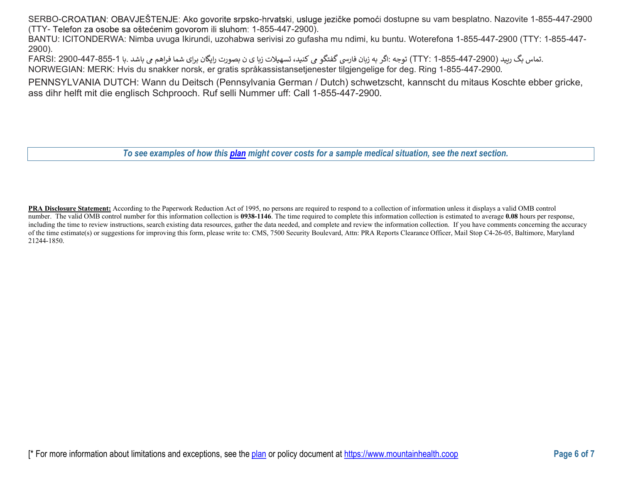SERBO-CROATIAN: OBAVJEŠTENJE: Ako govorite srpsko-hrvatski, usluge jezičke pomoći dostupne su vam besplatno. Nazovite 1-855-447-2900 (TTY- Telefon za osobe sa oštećenim govorom ili sluhom: 1-855-447-2900).

BANTU: ICITONDERWA: Nimba uvuga Ikirundi, uzohabwa serivisi zo gufasha mu ndimi, ku buntu. Woterefona 1-855-447-2900 (TTY: 1-855-447- 2900).

.تماس بگ ربيد (TTY: 1-855-447-2900) توجه :اگر به زيان فارسي گفتگو مي كنيد، تسهيلات زيا ي ن بصورت رايگان براي شما فراهم مي باشد .با FARSI: 2900-447-855-1 NORWEGIAN: MERK: Hvis du snakker norsk, er gratis språkassistansetjenester tilgjengelige for deg. Ring 1-855-447-2900.

PENNSYLVANIA DUTCH: Wann du Deitsch (Pennsylvania German / Dutch) schwetzscht, kannscht du mitaus Koschte ebber gricke, ass dihr helft mit die englisch Schprooch. Ruf selli Nummer uff: Call 1-855-447-2900.

To see examples of how this plan might cover costs for a sample medical situation, see the next section.

PRA Disclosure Statement: According to the Paperwork Reduction Act of 1995, no persons are required to respond to a collection of information unless it displays a valid OMB control number. The valid OMB control number for this information collection is 0938-1146. The time required to complete this information collection is estimated to average 0.08 hours per response, including the time to review instructions, search existing data resources, gather the data needed, and complete and review the information collection. If you have comments concerning the accuracy of the time estimate(s) or suggestions for improving this form, please write to: CMS, 7500 Security Boulevard, Attn: PRA Reports Clearance Officer, Mail Stop C4-26-05, Baltimore, Maryland 21244-1850.